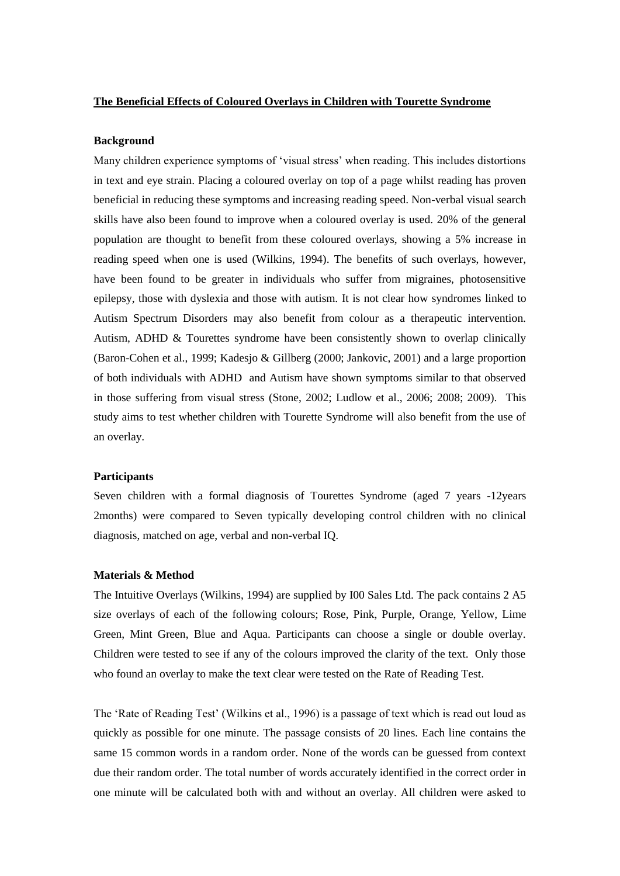#### **The Beneficial Effects of Coloured Overlays in Children with Tourette Syndrome**

#### **Background**

Many children experience symptoms of 'visual stress' when reading. This includes distortions in text and eye strain. Placing a coloured overlay on top of a page whilst reading has proven beneficial in reducing these symptoms and increasing reading speed. Non-verbal visual search skills have also been found to improve when a coloured overlay is used. 20% of the general population are thought to benefit from these coloured overlays, showing a 5% increase in reading speed when one is used (Wilkins, 1994). The benefits of such overlays, however, have been found to be greater in individuals who suffer from migraines, photosensitive epilepsy, those with dyslexia and those with autism. It is not clear how syndromes linked to Autism Spectrum Disorders may also benefit from colour as a therapeutic intervention. Autism, ADHD & Tourettes syndrome have been consistently shown to overlap clinically (Baron-Cohen et al., 1999; Kadesjo & Gillberg (2000; Jankovic, 2001) and a large proportion of both individuals with ADHD and Autism have shown symptoms similar to that observed in those suffering from visual stress (Stone, 2002; Ludlow et al., 2006; 2008; 2009). This study aims to test whether children with Tourette Syndrome will also benefit from the use of an overlay.

## **Participants**

Seven children with a formal diagnosis of Tourettes Syndrome (aged 7 years -12years 2months) were compared to Seven typically developing control children with no clinical diagnosis, matched on age, verbal and non-verbal IQ.

## **Materials & Method**

The Intuitive Overlays (Wilkins, 1994) are supplied by I00 Sales Ltd. The pack contains 2 A5 size overlays of each of the following colours; Rose, Pink, Purple, Orange, Yellow, Lime Green, Mint Green, Blue and Aqua. Participants can choose a single or double overlay. Children were tested to see if any of the colours improved the clarity of the text. Only those who found an overlay to make the text clear were tested on the Rate of Reading Test.

The 'Rate of Reading Test' (Wilkins et al., 1996) is a passage of text which is read out loud as quickly as possible for one minute. The passage consists of 20 lines. Each line contains the same 15 common words in a random order. None of the words can be guessed from context due their random order. The total number of words accurately identified in the correct order in one minute will be calculated both with and without an overlay. All children were asked to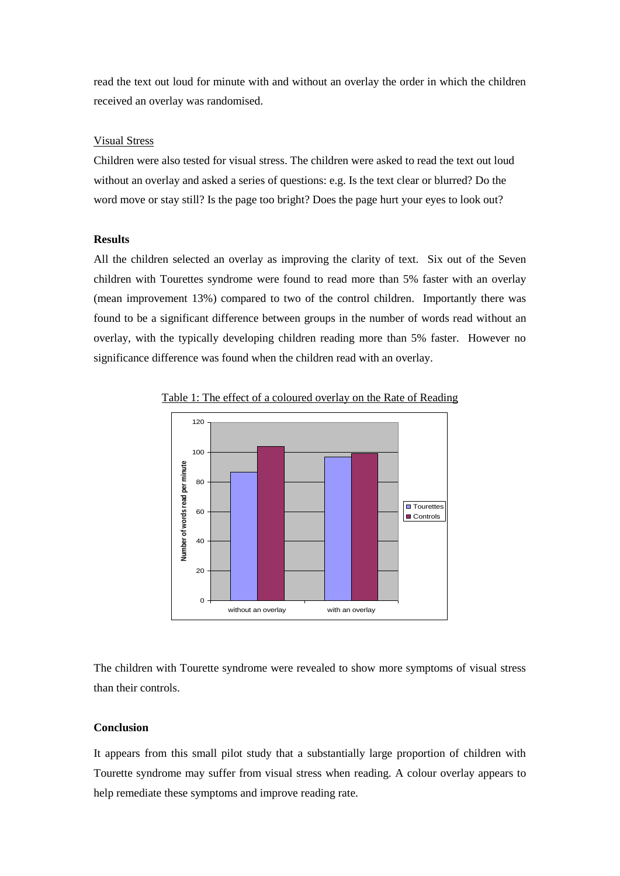read the text out loud for minute with and without an overlay the order in which the children received an overlay was randomised.

## Visual Stress

Children were also tested for visual stress. The children were asked to read the text out loud without an overlay and asked a series of questions: e.g. Is the text clear or blurred? Do the word move or stay still? Is the page too bright? Does the page hurt your eyes to look out?

# **Results**

All the children selected an overlay as improving the clarity of text. Six out of the Seven children with Tourettes syndrome were found to read more than 5% faster with an overlay (mean improvement 13%) compared to two of the control children. Importantly there was found to be a significant difference between groups in the number of words read without an overlay, with the typically developing children reading more than 5% faster. However no significance difference was found when the children read with an overlay.



Table 1: The effect of a coloured overlay on the Rate of Reading

The children with Tourette syndrome were revealed to show more symptoms of visual stress than their controls.

# **Conclusion**

It appears from this small pilot study that a substantially large proportion of children with Tourette syndrome may suffer from visual stress when reading. A colour overlay appears to help remediate these symptoms and improve reading rate.